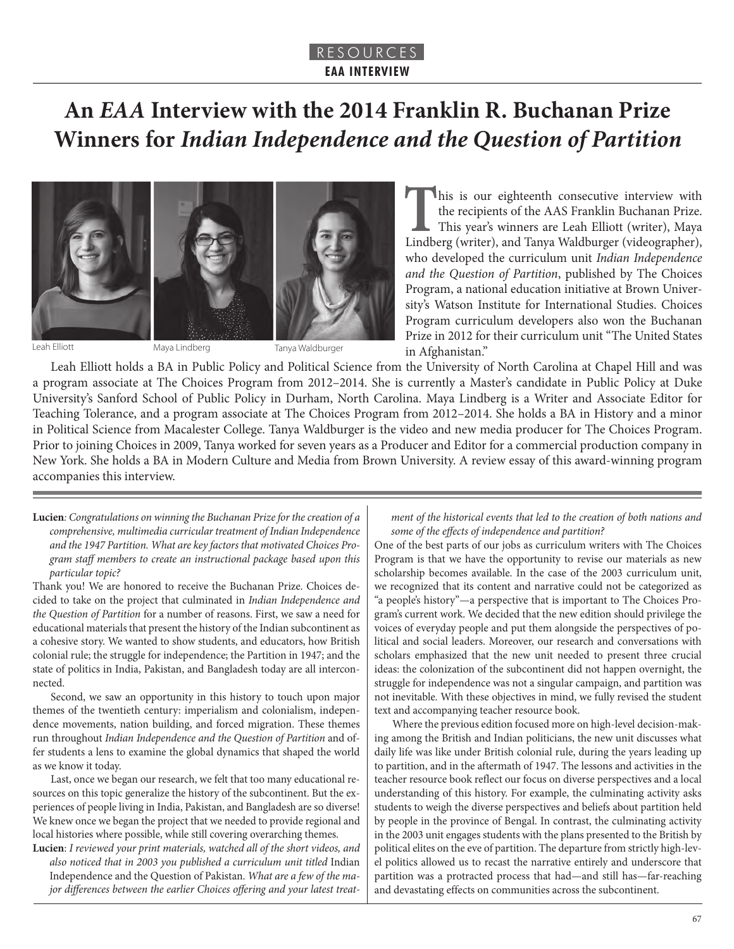### RESOURCES **EAA INTERVIEW**

# **An** *EAA* **Interview with the 2014 Franklin R. Buchanan Prize Winners for** *Indian Independence and the Question of Partition*







Leah Elliott Maya Lindberg Tanya Waldburger

**T**his is our eighteenth consecutive interview with the recipients of the AAS Franklin Buchanan Prize. This year's winners are Leah Elliott (writer), Maya Lindberg (writer), and Tanya Waldburger (videographer), who developed the curriculum unit *Indian Independence and the Question of Partition*, published by The Choices Program, a national education initiative at Brown University's Watson Institute for International Studies. Choices Program curriculum developers also won the Buchanan Prize in 2012 for their curriculum unit "The United States in Afghanistan."

Leah Elliott holds a BA in Public Policy and Political Science from the University of North Carolina at Chapel Hill and was a program associate at The Choices Program from 2012–2014. She is currently a Master's candidate in Public Policy at Duke University's Sanford School of Public Policy in Durham, North Carolina. Maya Lindberg is a Writer and Associate Editor for Teaching Tolerance, and a program associate at The Choices Program from 2012–2014. She holds a BA in History and a minor in Political Science from Macalester College. Tanya Waldburger is the video and new media producer for The Choices Program. Prior to joining Choices in 2009, Tanya worked for seven years as a Producer and Editor for a commercial production company in New York. She holds a BA in Modern Culture and Media from Brown University. A review essay of this award-winning program accompanies this interview.

**Lucien***: Congratulations on winning the Buchanan Prize for the creation of a comprehensive, multimedia curricular treatment of Indian Independence and the 1947 Partition. What are key factors that motivated Choices Program staff members to create an instructional package based upon this particular topic?*

Thank you! We are honored to receive the Buchanan Prize. Choices decided to take on the project that culminated in *Indian Independence and the Question of Partition* for a number of reasons. First, we saw a need for educational materials that present the history of the Indian subcontinent as a cohesive story. We wanted to show students, and educators, how British colonial rule; the struggle for independence; the Partition in 1947; and the state of politics in India, Pakistan, and Bangladesh today are all interconnected.

Second, we saw an opportunity in this history to touch upon major themes of the twentieth century: imperialism and colonialism, independence movements, nation building, and forced migration. These themes run throughout *Indian Independence and the Question of Partition* and offer students a lens to examine the global dynamics that shaped the world as we know it today.

Last, once we began our research, we felt that too many educational resources on this topic generalize the history of the subcontinent. But the experiences of people living in India, Pakistan, and Bangladesh are so diverse! We knew once we began the project that we needed to provide regional and local histories where possible, while still covering overarching themes.

**Lucien**: *I reviewed your print materials, watched all of the short videos, and also noticed that in 2003 you published a curriculum unit titled* Indian Independence and the Question of Pakistan. *What are a few of the major differences between the earlier Choices offering and your latest treat-*

*ment of the historical events that led to the creation of both nations and some of the effects of independence and partition?*

One of the best parts of our jobs as curriculum writers with The Choices Program is that we have the opportunity to revise our materials as new scholarship becomes available. In the case of the 2003 curriculum unit, we recognized that its content and narrative could not be categorized as "a people's history"—a perspective that is important to The Choices Program's current work. We decided that the new edition should privilege the voices of everyday people and put them alongside the perspectives of political and social leaders. Moreover, our research and conversations with scholars emphasized that the new unit needed to present three crucial ideas: the colonization of the subcontinent did not happen overnight, the struggle for independence was not a singular campaign, and partition was not inevitable*.* With these objectives in mind, we fully revised the student text and accompanying teacher resource book.

Where the previous edition focused more on high-level decision-making among the British and Indian politicians, the new unit discusses what daily life was like under British colonial rule, during the years leading up to partition, and in the aftermath of 1947. The lessons and activities in the teacher resource book reflect our focus on diverse perspectives and a local understanding of this history. For example, the culminating activity asks students to weigh the diverse perspectives and beliefs about partition held by people in the province of Bengal. In contrast, the culminating activity in the 2003 unit engages students with the plans presented to the British by political elites on the eve of partition. The departure from strictly high-level politics allowed us to recast the narrative entirely and underscore that partition was a protracted process that had—and still has—far-reaching and devastating effects on communities across the subcontinent.